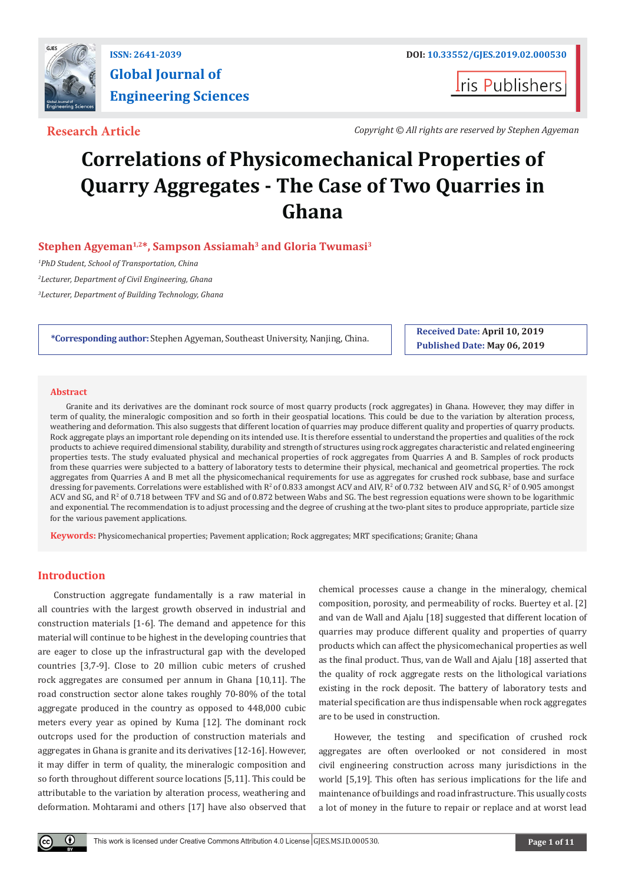

# **Global Journal of Engineering Sciences**

**I**ris Publishers

**Research Article** *Copyright © All rights are reserved by Stephen Agyeman*

## **Correlations of Physicomechanical Properties of Quarry Aggregates - The Case of Two Quarries in Ghana**

#### Stephen Agyeman<sup>1,2\*</sup>, Sampson Assiamah<sup>3</sup> and Gloria Twumasi<sup>3</sup>

*1 PhD Student, School of Transportation, China 2 Lecturer, Department of Civil Engineering, Ghana 3 Lecturer, Department of Building Technology, Ghana*

**\*Corresponding author:** Stephen Agyeman, Southeast University, Nanjing, China.

**Received Date: April 10, 2019 Published Date: May 06, 2019**

#### **Abstract**

Granite and its derivatives are the dominant rock source of most quarry products (rock aggregates) in Ghana. However, they may differ in term of quality, the mineralogic composition and so forth in their geospatial locations. This could be due to the variation by alteration process, weathering and deformation. This also suggests that different location of quarries may produce different quality and properties of quarry products. Rock aggregate plays an important role depending on its intended use. It is therefore essential to understand the properties and qualities of the rock products to achieve required dimensional stability, durability and strength of structures using rock aggregates characteristic and related engineering properties tests. The study evaluated physical and mechanical properties of rock aggregates from Quarries A and B. Samples of rock products from these quarries were subjected to a battery of laboratory tests to determine their physical, mechanical and geometrical properties. The rock aggregates from Quarries A and B met all the physicomechanical requirements for use as aggregates for crushed rock subbase, base and surface dressing for pavements. Correlations were established with  $R^2$  of 0.833 amongst ACV and AIV,  $R^2$  of 0.732 between AIV and SG,  $R^2$  of 0.905 amongst ACV and SG, and R<sup>2</sup> of 0.718 between TFV and SG and of 0.872 between Wabs and SG. The best regression equations were shown to be logarithmic and exponential. The recommendation is to adjust processing and the degree of crushing at the two-plant sites to produce appropriate, particle size for the various pavement applications.

**Keywords:** Physicomechanical properties; Pavement application; Rock aggregates; MRT specifications; Granite; Ghana

#### **Introduction**

Construction aggregate fundamentally is a raw material in all countries with the largest growth observed in industrial and construction materials [1-6]. The demand and appetence for this material will continue to be highest in the developing countries that are eager to close up the infrastructural gap with the developed countries [3,7-9]. Close to 20 million cubic meters of crushed rock aggregates are consumed per annum in Ghana [10,11]. The road construction sector alone takes roughly 70-80% of the total aggregate produced in the country as opposed to 448,000 cubic meters every year as opined by Kuma [12]. The dominant rock outcrops used for the production of construction materials and aggregates in Ghana is granite and its derivatives [12-16]. However, it may differ in term of quality, the mineralogic composition and so forth throughout different source locations [5,11]. This could be attributable to the variation by alteration process, weathering and deformation. Mohtarami and others [17] have also observed that chemical processes cause a change in the mineralogy, chemical composition, porosity, and permeability of rocks. Buertey et al. [2] and van de Wall and Ajalu [18] suggested that different location of quarries may produce different quality and properties of quarry products which can affect the physicomechanical properties as well as the final product. Thus, van de Wall and Ajalu [18] asserted that the quality of rock aggregate rests on the lithological variations existing in the rock deposit. The battery of laboratory tests and material specification are thus indispensable when rock aggregates are to be used in construction.

However, the testing and specification of crushed rock aggregates are often overlooked or not considered in most civil engineering construction across many jurisdictions in the world [5,19]. This often has serious implications for the life and maintenance of buildings and road infrastructure. This usually costs a lot of money in the future to repair or replace and at worst lead

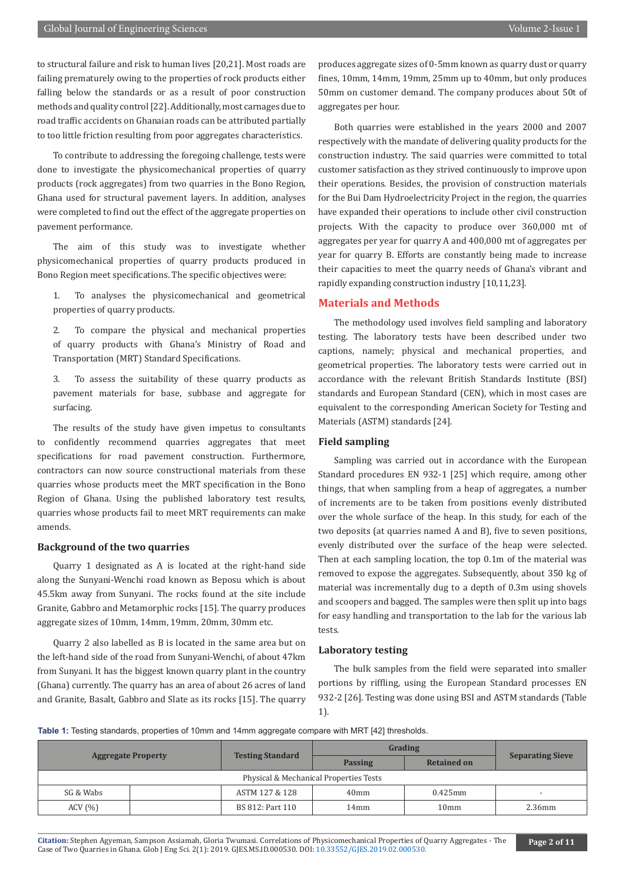to structural failure and risk to human lives [20,21]. Most roads are failing prematurely owing to the properties of rock products either falling below the standards or as a result of poor construction methods and quality control [22]. Additionally, most carnages due to road traffic accidents on Ghanaian roads can be attributed partially to too little friction resulting from poor aggregates characteristics.

To contribute to addressing the foregoing challenge, tests were done to investigate the physicomechanical properties of quarry products (rock aggregates) from two quarries in the Bono Region, Ghana used for structural pavement layers. In addition, analyses were completed to find out the effect of the aggregate properties on pavement performance.

The aim of this study was to investigate whether physicomechanical properties of quarry products produced in Bono Region meet specifications. The specific objectives were:

1. To analyses the physicomechanical and geometrical properties of quarry products.

2. To compare the physical and mechanical properties of quarry products with Ghana's Ministry of Road and Transportation (MRT) Standard Specifications.

3. To assess the suitability of these quarry products as pavement materials for base, subbase and aggregate for surfacing.

The results of the study have given impetus to consultants to confidently recommend quarries aggregates that meet specifications for road pavement construction. Furthermore, contractors can now source constructional materials from these quarries whose products meet the MRT specification in the Bono Region of Ghana. Using the published laboratory test results, quarries whose products fail to meet MRT requirements can make amends.

#### **Background of the two quarries**

Quarry 1 designated as A is located at the right-hand side along the Sunyani-Wenchi road known as Beposu which is about 45.5km away from Sunyani. The rocks found at the site include Granite, Gabbro and Metamorphic rocks [15]. The quarry produces aggregate sizes of 10mm, 14mm, 19mm, 20mm, 30mm etc.

Quarry 2 also labelled as B is located in the same area but on the left-hand side of the road from Sunyani-Wenchi, of about 47km from Sunyani. It has the biggest known quarry plant in the country (Ghana) currently. The quarry has an area of about 26 acres of land and Granite, Basalt, Gabbro and Slate as its rocks [15]. The quarry

produces aggregate sizes of 0-5mm known as quarry dust or quarry fines, 10mm, 14mm, 19mm, 25mm up to 40mm, but only produces 50mm on customer demand. The company produces about 50t of aggregates per hour.

Both quarries were established in the years 2000 and 2007 respectively with the mandate of delivering quality products for the construction industry. The said quarries were committed to total customer satisfaction as they strived continuously to improve upon their operations. Besides, the provision of construction materials for the Bui Dam Hydroelectricity Project in the region, the quarries have expanded their operations to include other civil construction projects. With the capacity to produce over 360,000 mt of aggregates per year for quarry A and 400,000 mt of aggregates per year for quarry B. Efforts are constantly being made to increase their capacities to meet the quarry needs of Ghana's vibrant and rapidly expanding construction industry [10,11,23].

#### **Materials and Methods**

The methodology used involves field sampling and laboratory testing. The laboratory tests have been described under two captions, namely; physical and mechanical properties, and geometrical properties. The laboratory tests were carried out in accordance with the relevant British Standards Institute (BSI) standards and European Standard (CEN), which in most cases are equivalent to the corresponding American Society for Testing and Materials (ASTM) standards [24].

#### **Field sampling**

Sampling was carried out in accordance with the European Standard procedures EN 932-1 [25] which require, among other things, that when sampling from a heap of aggregates, a number of increments are to be taken from positions evenly distributed over the whole surface of the heap. In this study, for each of the two deposits (at quarries named A and B), five to seven positions, evenly distributed over the surface of the heap were selected. Then at each sampling location, the top 0.1m of the material was removed to expose the aggregates. Subsequently, about 350 kg of material was incrementally dug to a depth of 0.3m using shovels and scoopers and bagged. The samples were then split up into bags for easy handling and transportation to the lab for the various lab tests.

#### **Laboratory testing**

The bulk samples from the field were separated into smaller portions by riffling, using the European Standard processes EN 932-2 [26]. Testing was done using BSI and ASTM standards (Table 1).

**Table 1:** Testing standards, properties of 10mm and 14mm aggregate compare with MRT [42] thresholds.

| <b>Aggregate Property</b> |                                        |                         | Grading        |                    |                         |  |  |  |  |  |  |
|---------------------------|----------------------------------------|-------------------------|----------------|--------------------|-------------------------|--|--|--|--|--|--|
|                           |                                        | <b>Testing Standard</b> | <b>Passing</b> | <b>Retained on</b> | <b>Separating Sieve</b> |  |  |  |  |  |  |
|                           | Physical & Mechanical Properties Tests |                         |                |                    |                         |  |  |  |  |  |  |
| SG & Wabs                 |                                        | ASTM 127 & 128          | 40mm           | $0.425$ mm         |                         |  |  |  |  |  |  |
| ACV(%)                    |                                        | BS 812: Part 110        | 14mm           | 10 <sub>mm</sub>   | $2.36$ mm               |  |  |  |  |  |  |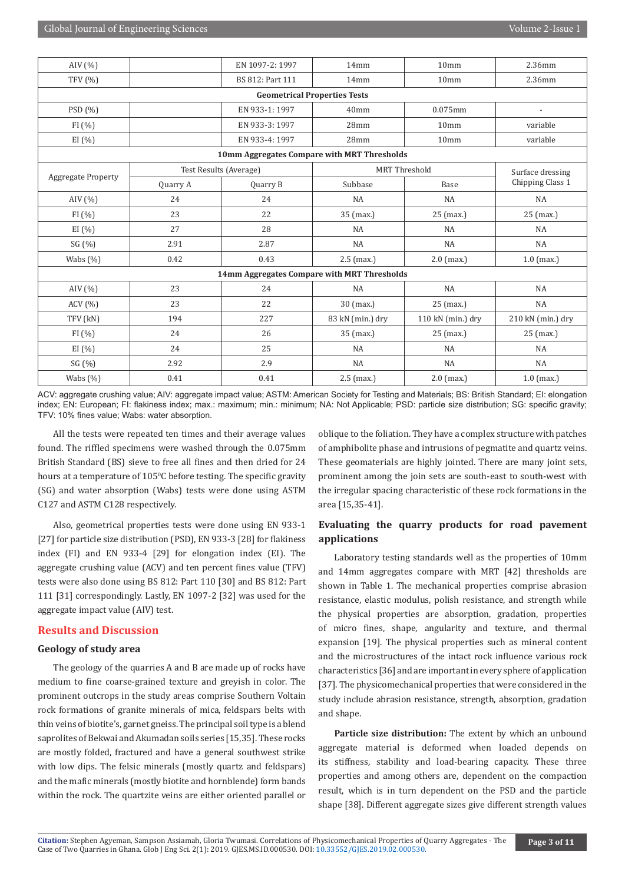| AIV $(%)$                                   |          | EN 1097-2: 1997        | 14mm                                        | 10 <sub>mm</sub>     | 2.36mm                   |  |  |  |  |  |  |  |
|---------------------------------------------|----------|------------------------|---------------------------------------------|----------------------|--------------------------|--|--|--|--|--|--|--|
| <b>TFV</b> (%)                              |          |                        | 14mm                                        | 10 <sub>mm</sub>     | 2.36mm                   |  |  |  |  |  |  |  |
| <b>Geometrical Properties Tests</b>         |          |                        |                                             |                      |                          |  |  |  |  |  |  |  |
| PSD (%)                                     |          | EN 933-1: 1997         | 40 <sub>mm</sub>                            | 0.075mm              | $\overline{\phantom{a}}$ |  |  |  |  |  |  |  |
| FI(%)                                       |          | EN 933-3: 1997         | 28mm                                        | 10 <sub>mm</sub>     | variable                 |  |  |  |  |  |  |  |
| EI (%)                                      |          | EN 933-4: 1997         | 28mm                                        | 10 <sub>mm</sub>     | variable                 |  |  |  |  |  |  |  |
| 10mm Aggregates Compare with MRT Thresholds |          |                        |                                             |                      |                          |  |  |  |  |  |  |  |
|                                             |          | Test Results (Average) |                                             | <b>MRT</b> Threshold | Surface dressing         |  |  |  |  |  |  |  |
| <b>Aggregate Property</b>                   | Quarry A | Subbase<br>Quarry B    |                                             | Base                 | Chipping Class 1         |  |  |  |  |  |  |  |
| AIV $(\% )$                                 | 24       | 24                     | NA                                          | NA                   | NA                       |  |  |  |  |  |  |  |
| FI(%)                                       | 23       | 22                     | 35 (max.)                                   | 25 (max.)            | 25 (max.)                |  |  |  |  |  |  |  |
| EI $(\% )$                                  | 27       | 28                     | NA                                          | <b>NA</b>            | NA                       |  |  |  |  |  |  |  |
| SG (%)                                      | 2.91     | 2.87                   | NA                                          | NA                   | NA                       |  |  |  |  |  |  |  |
| Wabs $(\% )$                                | 0.42     | 0.43                   | $2.5$ (max.)                                | $2.0$ (max.)         | $1.0$ (max.)             |  |  |  |  |  |  |  |
|                                             |          |                        | 14mm Aggregates Compare with MRT Thresholds |                      |                          |  |  |  |  |  |  |  |
| AIV $(\% )$                                 | 23       | 24                     | NA                                          | NA                   | NA                       |  |  |  |  |  |  |  |
| ACV (%)                                     | 23       | 22                     | 30 (max.)                                   | 25 (max.)            | NA                       |  |  |  |  |  |  |  |
| TFV (kN)                                    | 194      | 227                    | 83 kN (min.) dry                            | 110 kN (min.) dry    | 210 kN (min.) dry        |  |  |  |  |  |  |  |
| FI(%)                                       | 24       | 26                     | 35 (max.)                                   | $25$ (max.)          | $25$ (max.)              |  |  |  |  |  |  |  |
| EI (%)                                      | 24       | 25                     | NA                                          | <b>NA</b>            | NA                       |  |  |  |  |  |  |  |
| SG (%)                                      | 2.92     | 2.9                    | NA                                          | NA                   | NA                       |  |  |  |  |  |  |  |
| Wabs (%)                                    | 0.41     | 0.41                   | $2.5$ (max.)                                | $2.0$ (max.)         | $1.0$ (max.)             |  |  |  |  |  |  |  |

ACV: aggregate crushing value; AIV: aggregate impact value; ASTM: American Society for Testing and Materials; BS: British Standard; EI: elongation index; EN: European; FI: flakiness index; max.: maximum; min.: minimum; NA: Not Applicable; PSD: particle size distribution; SG: specific gravity; TFV: 10% fines value; Wabs: water absorption.

All the tests were repeated ten times and their average values found. The riffled specimens were washed through the 0.075mm British Standard (BS) sieve to free all fines and then dried for 24 hours at a temperature of 105°C before testing. The specific gravity (SG) and water absorption (Wabs) tests were done using ASTM C127 and ASTM C128 respectively.

Also, geometrical properties tests were done using EN 933-1 [27] for particle size distribution (PSD), EN 933-3 [28] for flakiness index (FI) and EN 933-4 [29] for elongation index (EI). The aggregate crushing value (ACV) and ten percent fines value (TFV) tests were also done using BS 812: Part 110 [30] and BS 812: Part 111 [31] correspondingly. Lastly, EN 1097-2 [32] was used for the aggregate impact value (AIV) test.

#### **Results and Discussion**

#### **Geology of study area**

The geology of the quarries A and B are made up of rocks have medium to fine coarse-grained texture and greyish in color. The prominent outcrops in the study areas comprise Southern Voltain rock formations of granite minerals of mica, feldspars belts with thin veins of biotite's, garnet gneiss. The principal soil type is a blend saprolites of Bekwai and Akumadan soils series [15,35]. These rocks are mostly folded, fractured and have a general southwest strike with low dips. The felsic minerals (mostly quartz and feldspars) and the mafic minerals (mostly biotite and hornblende) form bands within the rock. The quartzite veins are either oriented parallel or

oblique to the foliation. They have a complex structure with patches of amphibolite phase and intrusions of pegmatite and quartz veins. These geomaterials are highly jointed. There are many joint sets, prominent among the join sets are south-east to south-west with the irregular spacing characteristic of these rock formations in the area [15,35-41].

#### **Evaluating the quarry products for road pavement applications**

Laboratory testing standards well as the properties of 10mm and 14mm aggregates compare with MRT [42] thresholds are shown in Table 1. The mechanical properties comprise abrasion resistance, elastic modulus, polish resistance, and strength while the physical properties are absorption, gradation, properties of micro fines, shape, angularity and texture, and thermal expansion [19]. The physical properties such as mineral content and the microstructures of the intact rock influence various rock characteristics [36] and are important in every sphere of application [37]. The physicomechanical properties that were considered in the study include abrasion resistance, strength, absorption, gradation and shape.

**Particle size distribution:** The extent by which an unbound aggregate material is deformed when loaded depends on its stiffness, stability and load-bearing capacity. These three properties and among others are, dependent on the compaction result, which is in turn dependent on the PSD and the particle shape [38]. Different aggregate sizes give different strength values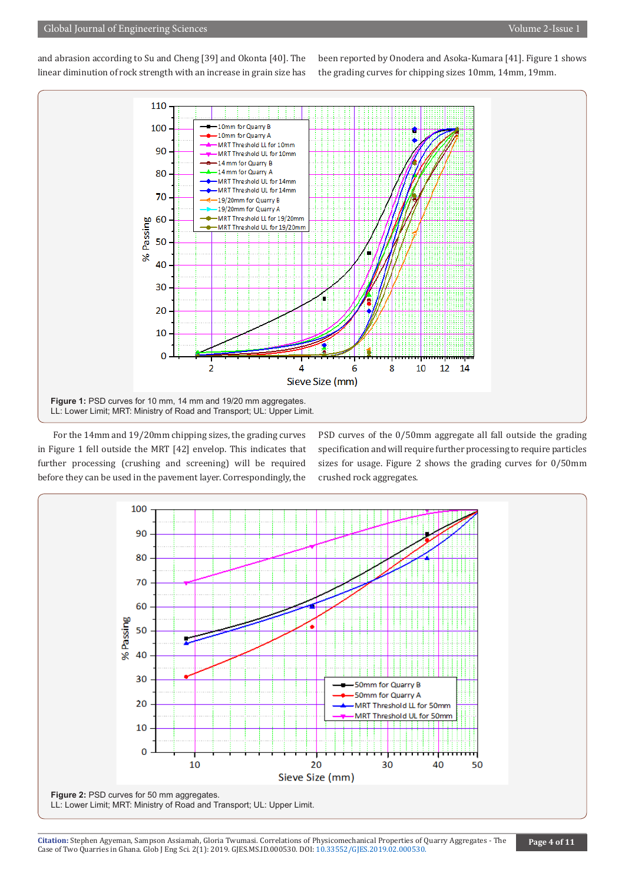and abrasion according to Su and Cheng [39] and Okonta [40]. The linear diminution of rock strength with an increase in grain size has

been reported by Onodera and Asoka-Kumara [41]. Figure 1 shows the grading curves for chipping sizes 10mm, 14mm, 19mm.



For the 14mm and 19/20mm chipping sizes, the grading curves in Figure 1 fell outside the MRT [42] envelop. This indicates that further processing (crushing and screening) will be required before they can be used in the pavement layer. Correspondingly, the PSD curves of the 0/50mm aggregate all fall outside the grading specification and will require further processing to require particles sizes for usage. Figure 2 shows the grading curves for 0/50mm crushed rock aggregates.

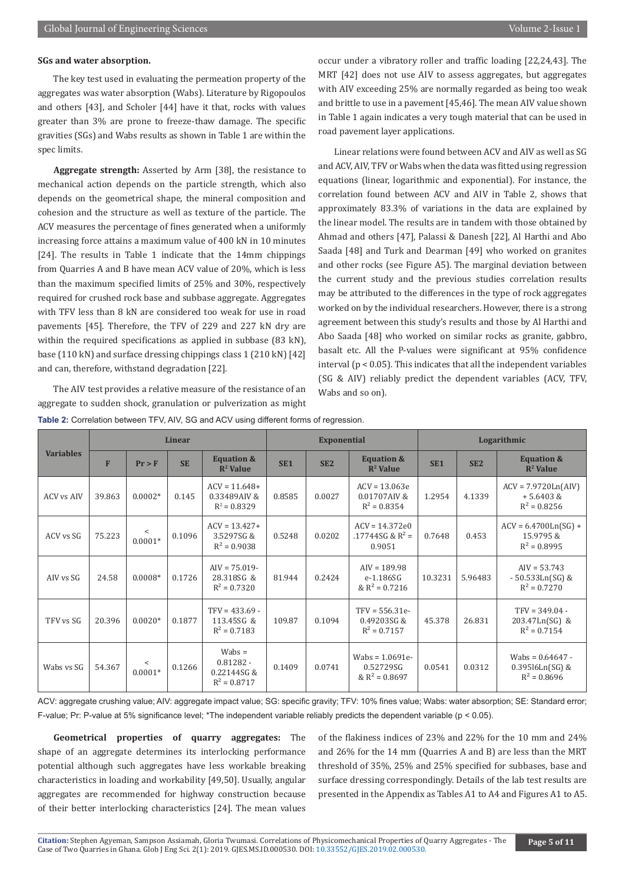#### **SGs and water absorption.**

The key test used in evaluating the permeation property of the aggregates was water absorption (Wabs). Literature by Rigopoulos and others [43], and Scholer [44] have it that, rocks with values greater than 3% are prone to freeze-thaw damage. The specific gravities (SGs) and Wabs results as shown in Table 1 are within the spec limits.

**Aggregate strength:** Asserted by Arm [38], the resistance to mechanical action depends on the particle strength, which also depends on the geometrical shape, the mineral composition and cohesion and the structure as well as texture of the particle. The ACV measures the percentage of fines generated when a uniformly increasing force attains a maximum value of 400 kN in 10 minutes [24]. The results in Table 1 indicate that the 14mm chippings from Quarries A and B have mean ACV value of 20%, which is less than the maximum specified limits of 25% and 30%, respectively required for crushed rock base and subbase aggregate. Aggregates with TFV less than 8 kN are considered too weak for use in road pavements [45]. Therefore, the TFV of 229 and 227 kN dry are within the required specifications as applied in subbase (83 kN), base (110 kN) and surface dressing chippings class 1 (210 kN) [42] and can, therefore, withstand degradation [22].

The AIV test provides a relative measure of the resistance of an aggregate to sudden shock, granulation or pulverization as might

occur under a vibratory roller and traffic loading [22,24,43]. The MRT [42] does not use AIV to assess aggregates, but aggregates with AIV exceeding 25% are normally regarded as being too weak and brittle to use in a pavement [45,46]. The mean AIV value shown in Table 1 again indicates a very tough material that can be used in road pavement layer applications.

Linear relations were found between ACV and AIV as well as SG and ACV, AIV, TFV or Wabs when the data was fitted using regression equations (linear, logarithmic and exponential). For instance, the correlation found between ACV and AIV in Table 2, shows that approximately 83.3% of variations in the data are explained by the linear model. The results are in tandem with those obtained by Ahmad and others [47], Palassi & Danesh [22], Al Harthi and Abo Saada [48] and Turk and Dearman [49] who worked on granites and other rocks (see Figure A5). The marginal deviation between the current study and the previous studies correlation results may be attributed to the differences in the type of rock aggregates worked on by the individual researchers. However, there is a strong agreement between this study's results and those by Al Harthi and Abo Saada [48] who worked on similar rocks as granite, gabbro, basalt etc. All the P-values were significant at 95% confidence interval (p < 0.05). This indicates that all the independent variables (SG & AIV) reliably predict the dependent variables (ACV, TFV, Wabs and so on).

|                   |        |                      | Linear    |                                                         |                 | <b>Exponential</b> |                                                    | Logarithmic     |                 |                                                           |  |
|-------------------|--------|----------------------|-----------|---------------------------------------------------------|-----------------|--------------------|----------------------------------------------------|-----------------|-----------------|-----------------------------------------------------------|--|
| <b>Variables</b>  | F      | $Pr$ > $F$           | <b>SE</b> | <b>Equation &amp;</b><br>$\mathbb{R}^2$ Value           | SE <sub>1</sub> | SE <sub>2</sub>    | <b>Equation &amp;</b><br>$\mathbb{R}^2$ Value      | SE <sub>1</sub> | SE <sub>2</sub> | <b>Equation &amp;</b><br>$\mathbb{R}^2$ Value             |  |
| <b>ACV vs AIV</b> | 39.863 | $0.0002*$            | 0.145     | $ACV = 11.648+$<br>0.33489AIV&<br>$R^2 = 0.8329$        | 0.8585          | 0.0027             | $ACV = 13.063e$<br>0.01707AIV&<br>$R^2 = 0.8354$   | 1.2954          | 4.1339          | $ACV = 7.9720Ln(AIV)$<br>$+5.6403 &$<br>$R^2 = 0.8256$    |  |
| ACV vs SG         | 75.223 | $\,<\,$<br>$0.0001*$ | 0.1096    | $ACV = 13.427+$<br>3.5297SG &<br>$R^2 = 0.9038$         | 0.5248          | 0.0202             | $ACV = 14.372e0$<br>.17744SG & $R^2$ =<br>0.9051   | 0.7648          | 0.453           | $ACV = 6.4700Ln(SG) +$<br>15.9795 &<br>$R^2 = 0.8995$     |  |
| AIV vs SG         | 24.58  | $0.0008*$            | 0.1726    | $AIV = 75.019 -$<br>28.318SG &<br>$R^2 = 0.7320$        | 81.944          | 0.2424             | $AIV = 189.98$<br>e-1.186SG<br>& $R^2$ = 0.7216    | 10.3231         | 5.96483         | $AV = 53.743$<br>$-50.533Ln(SG)$ &<br>$R^2 = 0.7270$      |  |
| TFV vs SG         | 20.396 | $0.0020*$            | 0.1877    | $TFV = 433.69 -$<br>113.45SG &<br>$R^2 = 0.7183$        | 109.87          | 0.1094             | $TFV = 556.31e-$<br>0.49203SG &<br>$R^2 = 0.7157$  | 45.378          | 26.831          | $TFV = 349.04 -$<br>203.47Ln(SG) &<br>$R^2 = 0.7154$      |  |
| Wabs ys SG        | 54.367 | $\,<\,$<br>$0.0001*$ | 0.1266    | $Wabs =$<br>$0.81282 -$<br>0.22144SG&<br>$R^2 = 0.8717$ | 0.1409          | 0.0741             | Wabs = $1.0691e-$<br>0.52729SG<br>& $R^2 = 0.8697$ | 0.0541          | 0.0312          | Wabs = $0.64647 -$<br>$0.39516Ln(SG)$ &<br>$R^2 = 0.8696$ |  |

**Table 2:** Correlation between TFV, AIV, SG and ACV using different forms of regression.

ACV: aggregate crushing value; AIV: aggregate impact value; SG: specific gravity; TFV: 10% fines value; Wabs: water absorption; SE: Standard error; F-value; Pr: P-value at 5% significance level; \*The independent variable reliably predicts the dependent variable (p < 0.05).

**Geometrical properties of quarry aggregates:** The shape of an aggregate determines its interlocking performance potential although such aggregates have less workable breaking characteristics in loading and workability [49,50]. Usually, angular aggregates are recommended for highway construction because of their better interlocking characteristics [24]. The mean values

of the flakiness indices of 23% and 22% for the 10 mm and 24% and 26% for the 14 mm (Quarries A and B) are less than the MRT threshold of 35%, 25% and 25% specified for subbases, base and surface dressing correspondingly. Details of the lab test results are presented in the Appendix as Tables A1 to A4 and Figures A1 to A5.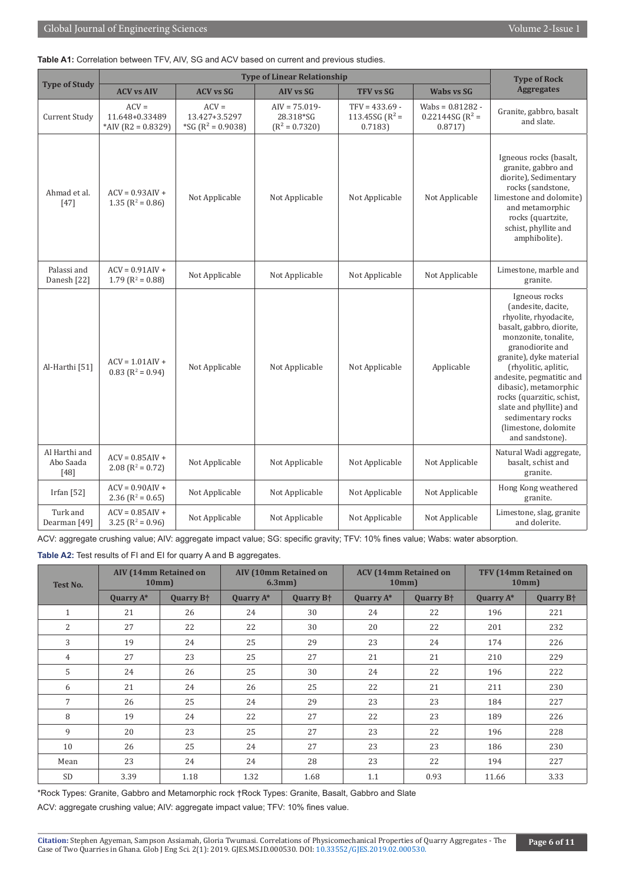|  |  | Table A1: Correlation between TFV, AIV, SG and ACV based on current and previous studies. |  |  |  |  |  |  |  |  |  |  |  |
|--|--|-------------------------------------------------------------------------------------------|--|--|--|--|--|--|--|--|--|--|--|
|--|--|-------------------------------------------------------------------------------------------|--|--|--|--|--|--|--|--|--|--|--|

|                                      |                                                      | <b>Type of Rock</b>                               |                                                   |                                                  |                                                     |                                                                                                                                                                                                                                                                                                                                                                      |
|--------------------------------------|------------------------------------------------------|---------------------------------------------------|---------------------------------------------------|--------------------------------------------------|-----------------------------------------------------|----------------------------------------------------------------------------------------------------------------------------------------------------------------------------------------------------------------------------------------------------------------------------------------------------------------------------------------------------------------------|
| <b>Type of Study</b>                 | <b>ACV vs AIV</b>                                    | <b>ACV vs SG</b>                                  | <b>AIV vs SG</b>                                  | <b>TFV vs SG</b>                                 | <b>Wabs vs SG</b>                                   | <b>Aggregates</b>                                                                                                                                                                                                                                                                                                                                                    |
| Current Study                        | $ACV =$<br>11.648+0.33489<br>*AIV (R2 = $0.8329$ )   | $ACV =$<br>13.427+3.5297<br>*SG ( $R^2$ = 0.9038) | $AIV = 75.019 -$<br>28.318*SG<br>$(R^2 = 0.7320)$ | $TFV = 433.69 -$<br>113.45SG ( $R^2$ =<br>0.7183 | Wabs = $0.81282 -$<br>$0.22144SG (R^2 =$<br>0.8717) | Granite, gabbro, basalt<br>and slate.                                                                                                                                                                                                                                                                                                                                |
| Ahmad et al.<br>$[47]$               | $ACV = 0.93AU +$<br>1.35 ( $R^2 = 0.86$ )            | Not Applicable                                    | Not Applicable                                    | Not Applicable                                   | Not Applicable                                      | Igneous rocks (basalt,<br>granite, gabbro and<br>diorite), Sedimentary<br>rocks (sandstone,<br>limestone and dolomite)<br>and metamorphic<br>rocks (quartzite,<br>schist, phyllite and<br>amphibolite).                                                                                                                                                              |
| Palassi and<br>Danesh [22]           | $ACV = 0.91AU +$<br>1.79 ( $R^2 = 0.88$ )            | Not Applicable                                    | Not Applicable                                    | Not Applicable                                   | Not Applicable                                      | Limestone, marble and<br>granite.                                                                                                                                                                                                                                                                                                                                    |
| Al-Harthi <sup>[51]</sup>            | $ACV = 1.01$ AIV +<br>$0.83$ (R <sup>2</sup> = 0.94) | Not Applicable                                    | Not Applicable                                    | Not Applicable                                   | Applicable                                          | Igneous rocks<br>(andesite, dacite,<br>rhyolite, rhyodacite,<br>basalt, gabbro, diorite,<br>monzonite, tonalite,<br>granodiorite and<br>granite), dyke material<br>(rhyolitic, aplitic,<br>andesite, pegmatitic and<br>dibasic), metamorphic<br>rocks (quarzitic, schist,<br>slate and phyllite) and<br>sedimentary rocks<br>(limestone, dolomite<br>and sandstone). |
| Al Harthi and<br>Abo Saada<br>$[48]$ | $ACV = 0.85AU +$<br>2.08 ( $R^2 = 0.72$ )            | Not Applicable                                    | Not Applicable                                    | Not Applicable                                   | Not Applicable                                      | Natural Wadi aggregate,<br>basalt, schist and<br>granite.                                                                                                                                                                                                                                                                                                            |
| <b>Irfan</b> [52]                    | $ACV = 0.90AU +$<br>2.36 ( $R^2$ = 0.65)             | Not Applicable                                    | Not Applicable                                    | Not Applicable                                   | Not Applicable                                      | Hong Kong weathered<br>granite.                                                                                                                                                                                                                                                                                                                                      |
| Turk and<br>Dearman <sup>[49]</sup>  | $ACV = 0.85AU +$<br>3.25 ( $R^2$ = 0.96)             | Not Applicable                                    | Not Applicable                                    | Not Applicable                                   | Not Applicable                                      | Limestone, slag, granite<br>and dolerite.                                                                                                                                                                                                                                                                                                                            |

ACV: aggregate crushing value; AIV: aggregate impact value; SG: specific gravity; TFV: 10% fines value; Wabs: water absorption.

**Table A2:** Test results of FI and EI for quarry A and B aggregates.

| <b>Test No.</b> | <b>AIV (14mm Retained on</b><br>10mm |                             | <b>AIV (10mm Retained on</b><br>$6.3mm$ ) |                             |              | <b>ACV</b> (14mm Retained on<br>10mm | TFV (14mm Retained on<br>10mm |                             |
|-----------------|--------------------------------------|-----------------------------|-------------------------------------------|-----------------------------|--------------|--------------------------------------|-------------------------------|-----------------------------|
|                 | Quarry A*                            | <b>Quarry B<sup>+</sup></b> | Quarry A*                                 | <b>Quarry B<sup>+</sup></b> | Quarry $A^*$ | <b>Quarry B<sup>+</sup></b>          | Quarry $A^*$                  | <b>Quarry B<sup>+</sup></b> |
| $\mathbf{1}$    | 21                                   | 26                          | 24                                        | 30                          | 24           | 22                                   | 196                           | 221                         |
| 2               | 27                                   | 22                          | 22                                        | 30                          | 20           | 22                                   | 201                           | 232                         |
| 3               | 19                                   | 24                          | 25                                        | 29                          | 23           | 24                                   | 174                           | 226                         |
| 4               | 27                                   | 23                          | 25                                        | 27                          | 21           | 21                                   | 210                           | 229                         |
| 5               | 24                                   | 26                          | 25                                        | 30                          | 24           | 22                                   | 196                           | 222                         |
| 6               | 21                                   | 24                          | 26                                        | 25                          | 22           | 21                                   | 211                           | 230                         |
| $\overline{7}$  | 26                                   | 25                          | 24                                        | 29                          | 23           | 23                                   | 184                           | 227                         |
| 8               | 19                                   | 24                          | 22                                        | 27                          | 22           | 23                                   | 189                           | 226                         |
| 9               | 20                                   | 23                          | 25                                        | 27                          | 23           | 22                                   | 196                           | 228                         |
| 10              | 26                                   | 25                          | 24                                        | 27                          | 23           | 23                                   | 186                           | 230                         |
| Mean            | 23                                   | 24                          | 24                                        | 28                          | 23           | 22                                   | 194                           | 227                         |
| <b>SD</b>       | 3.39                                 | 1.18                        | 1.32                                      | 1.68                        | 1.1          | 0.93                                 | 11.66                         | 3.33                        |

\*Rock Types: Granite, Gabbro and Metamorphic rock †Rock Types: Granite, Basalt, Gabbro and Slate

ACV: aggregate crushing value; AIV: aggregate impact value; TFV: 10% fines value.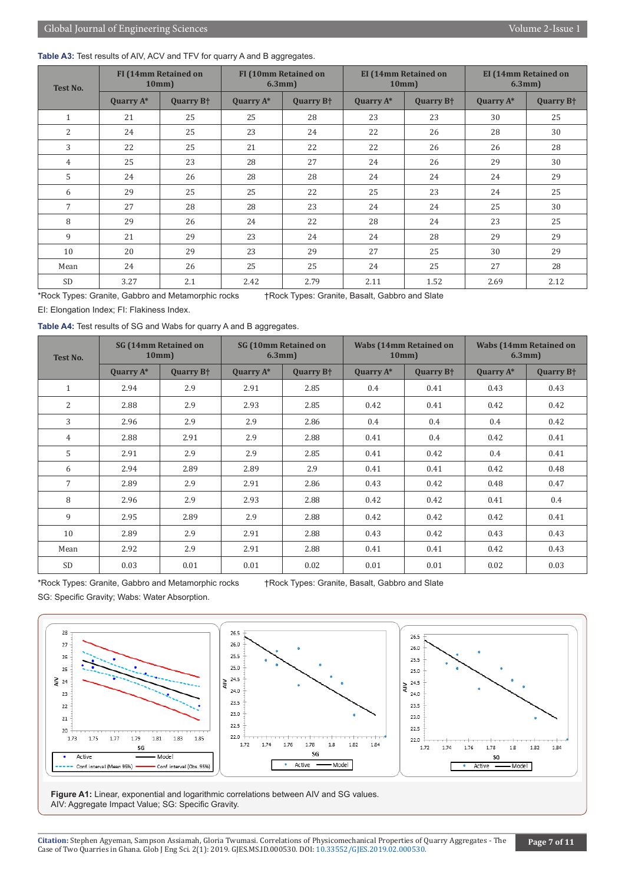#### Table A3: Test results of AIV, ACV and TFV for quarry A and B aggregates.

| <b>Test No.</b> | <b>FI (14mm Retained on</b><br>10mm |                             | <b>FI (10mm Retained on</b><br>$6.3mm$ ) |                             |              | <b>EI</b> (14mm Retained on<br>10mm | <b>EI</b> (14mm Retained on<br>$6.3mm$ ) |                             |  |
|-----------------|-------------------------------------|-----------------------------|------------------------------------------|-----------------------------|--------------|-------------------------------------|------------------------------------------|-----------------------------|--|
|                 | Quarry $A^*$                        | <b>Quarry B<sup>+</sup></b> | Quarry A*                                | <b>Quarry B<sup>+</sup></b> | Quarry $A^*$ | <b>Quarry B<sup>+</sup></b>         | <b>Quarry A*</b>                         | <b>Quarry B<sup>+</sup></b> |  |
| $\mathbf{1}$    | 21                                  | 25                          | 25                                       | 28                          | 23           | 23                                  | 30                                       | 25                          |  |
| $\overline{2}$  | 24                                  | 25                          | 23                                       | 24                          | 22           | 26                                  | 28                                       | 30                          |  |
| 3               | 22                                  | 25                          | 21                                       | 22                          | 22           | 26                                  | 26                                       | 28                          |  |
| 4               | 25                                  | 23                          | 28                                       | 27                          | 24           | 26                                  | 29                                       | 30                          |  |
| 5               | 24                                  | 26                          | 28                                       | 28                          | 24           | 24                                  | 24                                       | 29                          |  |
| 6               | 29                                  | 25                          | 25                                       | 22                          | 25           | 23                                  | 24                                       | 25                          |  |
| $\overline{7}$  | 27                                  | 28                          | 28                                       | 23                          | 24           | 24                                  | 25                                       | 30                          |  |
| 8               | 29                                  | 26                          | 24                                       | 22                          | 28           | 24                                  | 23                                       | 25                          |  |
| 9               | 21                                  | 29                          | 23                                       | 24                          | 24           | 28                                  | 29                                       | 29                          |  |
| 10              | 20                                  | 29                          | 23                                       | 29                          | 27           | 25                                  | 30                                       | 29                          |  |
| Mean            | 24                                  | 26                          | 25                                       | 25                          | 24           | 25                                  | 27                                       | 28                          |  |
| <b>SD</b>       | 3.27                                | 2.1                         | 2.42                                     | 2.79                        | 2.11         | 1.52                                | 2.69                                     | 2.12                        |  |

\*Rock Types: Granite, Gabbro and Metamorphic rocks †Rock Types: Granite, Basalt, Gabbro and Slate

EI: Elongation Index; FI: Flakiness Index.

**Table A4:** Test results of SG and Wabs for quarry A and B aggregates.

| <b>Test No.</b> | <b>SG (14mm Retained on</b><br>10mm |                             | <b>SG (10mm Retained on</b><br>$6.3mm$ ) |                             |              | <b>Wabs (14mm Retained on</b><br>10mm | <b>Wabs (14mm Retained on</b><br>$6.3mm$ ) |                             |  |
|-----------------|-------------------------------------|-----------------------------|------------------------------------------|-----------------------------|--------------|---------------------------------------|--------------------------------------------|-----------------------------|--|
|                 | Quarry A*                           | <b>Quarry B<sup>+</sup></b> | <b>Quarry A*</b>                         | <b>Quarry B<sup>+</sup></b> | Quarry $A^*$ | <b>Quarry B<sup>+</sup></b>           | <b>Quarry A*</b>                           | <b>Quarry B<sup>+</sup></b> |  |
| $\mathbf{1}$    | 2.94                                | 2.9                         | 2.91                                     | 2.85                        | 0.4          | 0.41                                  | 0.43                                       | 0.43                        |  |
| $\overline{2}$  | 2.88                                | 2.9                         | 2.93                                     | 2.85                        | 0.42         | 0.41                                  | 0.42                                       | 0.42                        |  |
| 3               | 2.96                                | 2.9                         | 2.9                                      | 2.86                        | 0.4          | 0.4                                   | 0.4                                        | 0.42                        |  |
| $\overline{4}$  | 2.88                                | 2.91                        | 2.9                                      | 2.88                        | 0.41         | 0.4                                   | 0.42                                       | 0.41                        |  |
| 5               | 2.91                                | 2.9                         | 2.9                                      | 2.85                        | 0.41         | 0.42                                  | 0.4                                        | 0.41                        |  |
| 6               | 2.94                                | 2.89                        | 2.89                                     | 2.9                         | 0.41         | 0.41                                  | 0.42                                       | 0.48                        |  |
| $\overline{7}$  | 2.89                                | 2.9                         | 2.91                                     | 2.86                        | 0.43         | 0.42                                  | 0.48                                       | 0.47                        |  |
| 8               | 2.96                                | 2.9                         | 2.93                                     | 2.88                        | 0.42         | 0.42                                  | 0.41                                       | 0.4                         |  |
| 9               | 2.95                                | 2.89                        | 2.9                                      | 2.88                        | 0.42         | 0.42                                  | 0.42                                       | 0.41                        |  |
| 10              | 2.89                                | 2.9                         | 2.91                                     | 2.88                        | 0.43         | 0.42                                  | 0.43                                       | 0.43                        |  |
| Mean            | 2.92                                | 2.9                         | 2.91                                     | 2.88                        | 0.41         | 0.41                                  | 0.42                                       | 0.43                        |  |
| <b>SD</b>       | 0.03                                | 0.01                        | 0.01                                     | 0.02                        | 0.01         | 0.01                                  | 0.02                                       | 0.03                        |  |

SG: Specific Gravity; Wabs: Water Absorption.

\*Rock Types: Granite, Gabbro and Metamorphic rocks †Rock Types: Granite, Basalt, Gabbro and Slate



Figure A1: Linear, exponential and logarithmic correlations between AIV and SG values. AIV: Aggregate Impact Value; SG: Specific Gravity.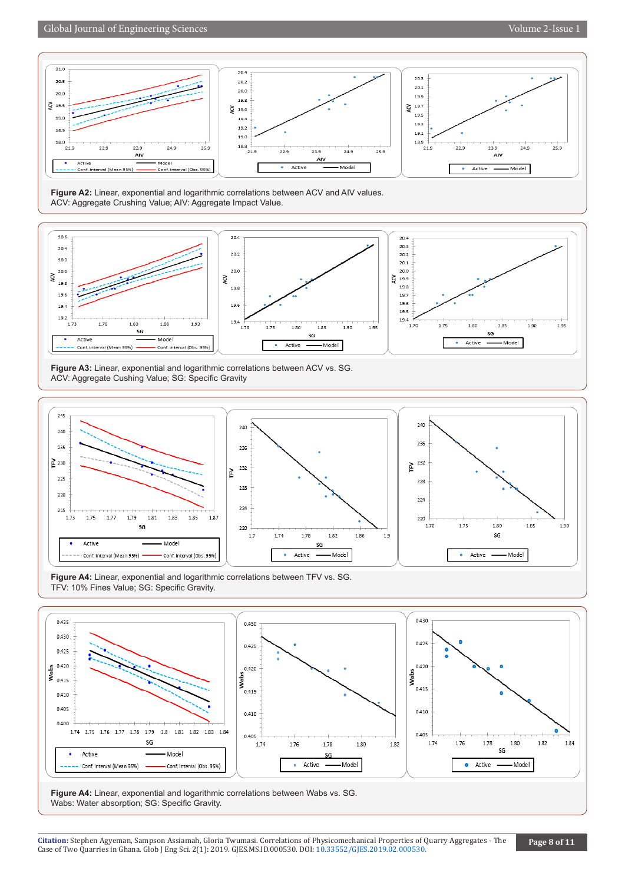### Global Journal of Engineering Sciences Volume 2-Issue 1

 $21.0$ 



 $20.3$ 

**Figure A2:** Linear, exponential and logarithmic correlations between ACV and AIV values. ACV: Aggregate Crushing Value; AIV: Aggregate Impact Value.

 $20.4$ 



**Figure A3:** Linear, exponential and logarithmic correlations between ACV vs. SG. ACV: Aggregate Cushing Value; SG: Specific Gravity



**Figure A4:** Linear, exponential and logarithmic correlations between TFV vs. SG. TFV: 10% Fines Value; SG: Specific Gravity.



**Figure A4:** Linear, exponential and logarithmic correlations between Wabs vs. SG. Wabs: Water absorption; SG: Specific Gravity.

 $25.9$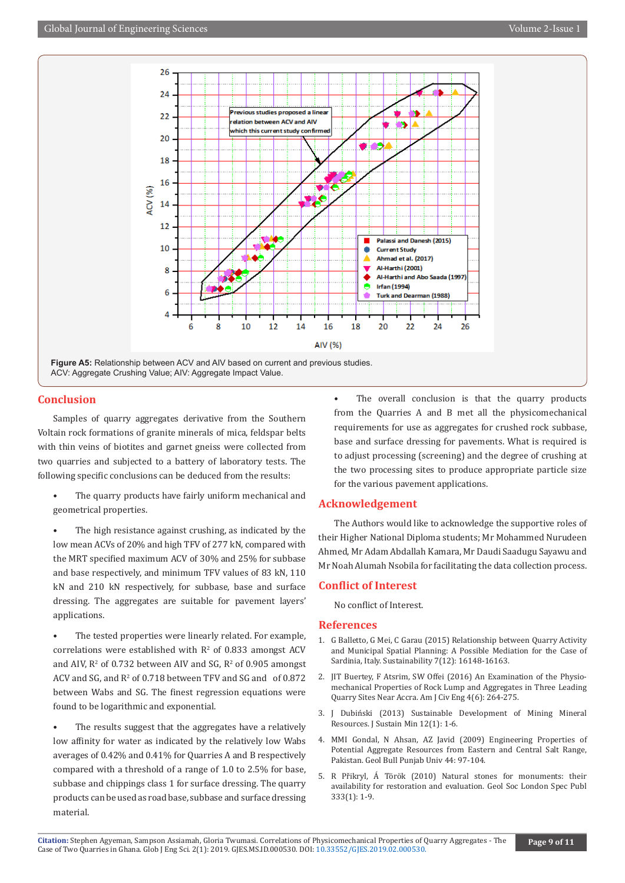

**Figure A5:** Relationship between ACV and AIV based on current and previous studies. ACV: Aggregate Crushing Value; AIV: Aggregate Impact Value.

#### **Conclusion**

Samples of quarry aggregates derivative from the Southern Voltain rock formations of granite minerals of mica, feldspar belts with thin veins of biotites and garnet gneiss were collected from two quarries and subjected to a battery of laboratory tests. The following specific conclusions can be deduced from the results:

- The quarry products have fairly uniform mechanical and geometrical properties.
- The high resistance against crushing, as indicated by the low mean ACVs of 20% and high TFV of 277 kN, compared with the MRT specified maximum ACV of 30% and 25% for subbase and base respectively, and minimum TFV values of 83 kN, 110 kN and 210 kN respectively, for subbase, base and surface dressing. The aggregates are suitable for pavement layers' applications.

The tested properties were linearly related. For example, correlations were established with  $R^2$  of 0.833 amongst ACV and AIV,  $\mathbb{R}^2$  of 0.732 between AIV and SG,  $\mathbb{R}^2$  of 0.905 amongst ACV and SG, and  $R^2$  of 0.718 between TFV and SG and  $\,$  of 0.872 between Wabs and SG. The finest regression equations were found to be logarithmic and exponential.

The results suggest that the aggregates have a relatively low affinity for water as indicated by the relatively low Wabs averages of 0.42% and 0.41% for Quarries A and B respectively compared with a threshold of a range of 1.0 to 2.5% for base, subbase and chippings class 1 for surface dressing. The quarry products can be used as road base, subbase and surface dressing material.

• The overall conclusion is that the quarry products from the Quarries A and B met all the physicomechanical requirements for use as aggregates for crushed rock subbase, base and surface dressing for pavements. What is required is to adjust processing (screening) and the degree of crushing at the two processing sites to produce appropriate particle size for the various pavement applications.

#### **Acknowledgement**

The Authors would like to acknowledge the supportive roles of their Higher National Diploma students; Mr Mohammed Nurudeen Ahmed, Mr Adam Abdallah Kamara, Mr Daudi Saadugu Sayawu and Mr Noah Alumah Nsobila for facilitating the data collection process.

#### **Conflict of Interest**

No conflict of Interest.

#### **References**

- 1. [G Balletto, G Mei, C Garau \(2015\) Relationship between Quarry Activity](https://www.mdpi.com/2071-1050/7/12/15801/html) [and Municipal Spatial Planning: A Possible Mediation for the Case of](https://www.mdpi.com/2071-1050/7/12/15801/html) [Sardinia, Italy. Sustainability 7\(12\): 16148-16163.](https://www.mdpi.com/2071-1050/7/12/15801/html)
- 2. [JIT Buertey, F Atsrim, SW Offei \(2016\) An Examination of the Physio](http://www.sciencepublishinggroup.com/journal/paperinfo?journalid=229&doi=10.11648/j.ajce.20160406.11)[mechanical Properties of Rock Lump and Aggregates in Three Leading](http://www.sciencepublishinggroup.com/journal/paperinfo?journalid=229&doi=10.11648/j.ajce.20160406.11) [Quarry Sites Near Accra. Am J Civ Eng 4\(6\): 264-275.](http://www.sciencepublishinggroup.com/journal/paperinfo?journalid=229&doi=10.11648/j.ajce.20160406.11)
- 3. [J Dubiński \(2013\) Sustainable Development of Mining Mineral](https://www.sciencedirect.com/science/article/pii/S2300396015300446) [Resources. J Sustain Min 12\(1\): 1-6.](https://www.sciencedirect.com/science/article/pii/S2300396015300446)
- 4. [MMI Gondal, N Ahsan, AZ Javid \(2009\) Engineering Properties of](https://pdfs.semanticscholar.org/5f58/610eab4f56e7aeaaafaabd57b9d6d8215e61.pdf?_ga=2.149212339.468515931.1556227790-577624991.1556227790) [Potential Aggregate Resources from Eastern and Central Salt Range,](https://pdfs.semanticscholar.org/5f58/610eab4f56e7aeaaafaabd57b9d6d8215e61.pdf?_ga=2.149212339.468515931.1556227790-577624991.1556227790) [Pakistan. Geol Bull Punjab Univ 44: 97-104.](https://pdfs.semanticscholar.org/5f58/610eab4f56e7aeaaafaabd57b9d6d8215e61.pdf?_ga=2.149212339.468515931.1556227790-577624991.1556227790)
- 5. [R Přikryl, Á Török \(2010\) Natural stones for monuments: their](https://sp.lyellcollection.org/content/333/1/1) [availability for restoration and evaluation. Geol Soc London Spec Publ](https://sp.lyellcollection.org/content/333/1/1) [333\(1\): 1-9.](https://sp.lyellcollection.org/content/333/1/1)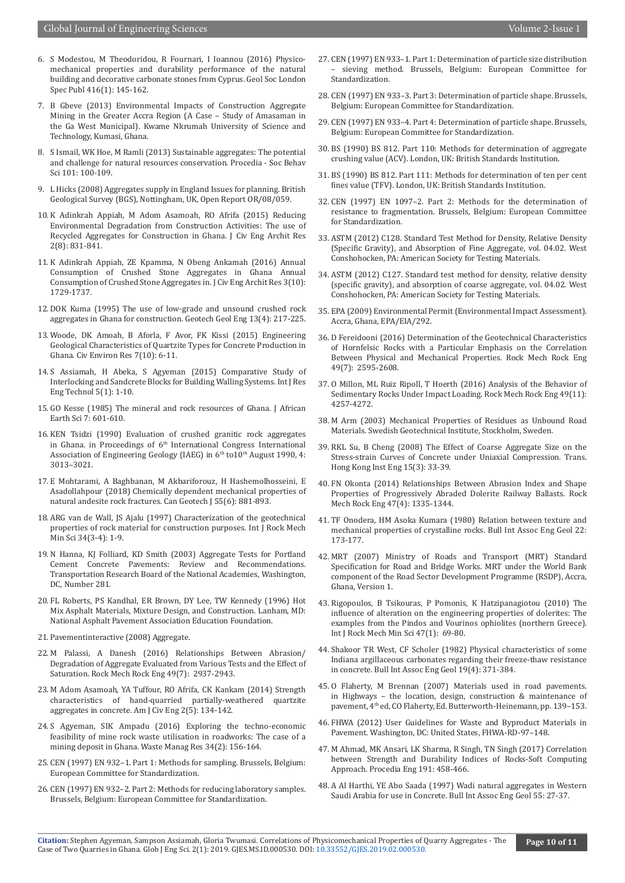- 6. [S Modestou, M Theodoridou, R Fournari, I Ioannou \(2016\) Physico](https://sp.lyellcollection.org/content/416/1/145)[mechanical properties and durability performance of the natural](https://sp.lyellcollection.org/content/416/1/145)  [building and decorative carbonate stones from Cyprus. Geol Soc London](https://sp.lyellcollection.org/content/416/1/145)  [Spec Publ 416\(1\): 145-162.](https://sp.lyellcollection.org/content/416/1/145)
- 7. [B Gbeve \(2013\) Environmental Impacts of Construction Aggregate](http://ir.knust.edu.gh/xmlui/handle/123456789/5763)  [Mining in the Greater Accra Region \(A Case – Study of Amasaman in](http://ir.knust.edu.gh/xmlui/handle/123456789/5763)  [the Ga West Municipal\). Kwame Nkrumah University of Science and](http://ir.knust.edu.gh/xmlui/handle/123456789/5763)  [Technology, Kumasi, Ghana.](http://ir.knust.edu.gh/xmlui/handle/123456789/5763)
- 8. [S Ismail, WK Hoe, M Ramli \(2013\) Sustainable aggregates: The potential](https://www.sciencedirect.com/science/article/pii/S1877042813020788)  [and challenge for natural resources conservation. Procedia - Soc Behav](https://www.sciencedirect.com/science/article/pii/S1877042813020788)  [Sci 101: 100-109.](https://www.sciencedirect.com/science/article/pii/S1877042813020788)
- 9. L Hicks (2008) Aggregates supply in England Issues for planning. British Geological Survey (BGS), Nottingham, UK, Open Report OR/08/059.
- 10. [K Adinkrah Appiah, M Adom Asamoah, RO Afrifa \(2015\) Reducing](http://ir.knust.edu.gh/xmlui/handle/123456789/11348)  [Environmental Degradation from Construction Activities: The use of](http://ir.knust.edu.gh/xmlui/handle/123456789/11348)  [Recycled Aggregates for Construction in Ghana. J Civ Eng Archit Res](http://ir.knust.edu.gh/xmlui/handle/123456789/11348)  [2\(8\): 831-841.](http://ir.knust.edu.gh/xmlui/handle/123456789/11348)
- 11. K Adinkrah Appiah, ZE Kpamma, N Obeng Ankamah (2016) Annual Consumption of Crushed Stone Aggregates in Ghana Annual Consumption of Crushed Stone Aggregates in. J Civ Eng Archit Res 3(10): 1729-1737.
- 12. [DOK Kuma \(1995\) The use of low-grade and unsound crushed rock](https://link.springer.com/article/10.1007/BF00422211)  [aggregates in Ghana for construction. Geotech Geol Eng 13\(4\): 217-225.](https://link.springer.com/article/10.1007/BF00422211)
- 13. [Woode, DK Amoah, B Aforla, F Avor, FK Kissi \(2015\) Engineering](https://www.iiste.org/Journals/index.php/CER/article/view/26225)  [Geological Characteristics of Quartzite Types for Concrete Production in](https://www.iiste.org/Journals/index.php/CER/article/view/26225)  [Ghana. Civ Environ Res 7\(10\): 6-11.](https://www.iiste.org/Journals/index.php/CER/article/view/26225)
- 14. S Assiamah, H Abeka, S Agyeman (2015) Comparative Study of Interlocking and Sandcrete Blocks for Building Walling Systems. Int J Res Eng Technol 5(1): 1-10.
- 15. GO Kesse (1985) The mineral and rock resources of Ghana. J African Earth Sci 7: 601-610.
- 16. KEN Tsidzi (1990) Evaluation of crushed granitic rock aggregates in Ghana. in Proceedings of  $6<sup>th</sup>$  International Congress International Association of Engineering Geology (IAEG) in 6<sup>th</sup> to10<sup>th</sup> August 1990, 4: 3013–3021.
- 17. E Mohtarami, A Baghbanan, M Akbariforouz, H Hashemolhosseini, E Asadollahpour (2018) Chemically dependent mechanical properties of natural andesite rock fractures. Can Geotech J 55(6): 881-893.
- 18. [ARG van de Wall, JS Ajalu \(1997\) Characterization of the geotechnical](https://www.sciencedirect.com/science/article/pii/S1365160997002086)  [properties of rock material for construction purposes. Int J Rock Mech](https://www.sciencedirect.com/science/article/pii/S1365160997002086)  [Min Sci 34\(3-4\): 1-9.](https://www.sciencedirect.com/science/article/pii/S1365160997002086)
- 19. N Hanna, KJ Folliard, KD Smith (2003) Aggregate Tests for Portland Cement Concrete Pavements: Review and Recommendations. Transportation Research Board of the National Academies, Washington, DC, Number 281.
- 20. FL Roberts, PS Kandhal, ER Brown, DY Lee, TW Kennedy (1996) Hot Mix Asphalt Materials, Mixture Design, and Construction. Lanham, MD: National Asphalt Pavement Association Education Foundation.
- 21. Pavementinteractive (2008) Aggregate.
- 22. [M Palassi, A Danesh \(2016\) Relationships Between Abrasion/](https://link.springer.com/article/10.1007/s00603-015-0869-9) [Degradation of Aggregate Evaluated from Various Tests and the Effect of](https://link.springer.com/article/10.1007/s00603-015-0869-9)  [Saturation. Rock Mech Rock Eng 49\(7\): 2937-2943.](https://link.springer.com/article/10.1007/s00603-015-0869-9)
- 23. [M Adom Asamoah, YA Tuffour, RO Afrifa, CK Kankam \(2014\) Strength](http://www.sciencepublishinggroup.com/journal/paperinfo?journalid=229&paperId=10003671)  [characteristics of hand-quarried partially-weathered quartzite](http://www.sciencepublishinggroup.com/journal/paperinfo?journalid=229&paperId=10003671)  [aggregates in concrete. Am J Civ Eng 2\(5\): 134-142.](http://www.sciencepublishinggroup.com/journal/paperinfo?journalid=229&paperId=10003671)
- 24. [S Agyeman, SIK Ampadu \(2016\) Exploring the techno-economic](https://www.ncbi.nlm.nih.gov/pubmed/26526020)  [feasibility of mine rock waste utilisation in roadworks: The case of a](https://www.ncbi.nlm.nih.gov/pubmed/26526020)  [mining deposit in Ghana. Waste Manag Res 34\(2\): 156-164.](https://www.ncbi.nlm.nih.gov/pubmed/26526020)
- 25. CEN (1997) EN 932–1. Part 1: Methods for sampling. Brussels, Belgium: European Committee for Standardization.
- 26. CEN (1997) EN 932–2. Part 2: Methods for reducing laboratory samples. Brussels, Belgium: European Committee for Standardization.
- 27. CEN (1997) EN 933–1. Part 1: Determination of particle size distribution – sieving method. Brussels, Belgium: European Committee for Standardization.
- 28. CEN (1997) EN 933–3. Part 3: Determination of particle shape. Brussels, Belgium: European Committee for Standardization.
- 29. CEN (1997) EN 933–4. Part 4: Determination of particle shape. Brussels, Belgium: European Committee for Standardization.
- 30. BS (1990) BS 812. Part 110: Methods for determination of aggregate crushing value (ACV). London, UK: British Standards Institution.
- 31. BS (1990) BS 812. Part 111: Methods for determination of ten per cent fines value (TFV). London, UK: British Standards Institution.
- 32. CEN (1997) EN 1097–2. Part 2: Methods for the determination of resistance to fragmentation. Brussels, Belgium: European Committee for Standardization.
- 33. ASTM (2012) C128. Standard Test Method for Density, Relative Density (Specific Gravity), and Absorption of Fine Aggregate, vol. 04.02. West Conshohocken, PA: American Society for Testing Materials.
- 34. ASTM (2012) C127. Standard test method for density, relative density (specific gravity), and absorption of coarse aggregate, vol. 04.02. West Conshohocken, PA: American Society for Testing Materials.
- 35. EPA (2009) Environmental Permit (Environmental Impact Assessment). Accra, Ghana, EPA/EIA/292.
- 36. [D Fereidooni \(2016\) Determination of the Geotechnical Characteristics](https://link.springer.com/article/10.1007/s00603-016-0930-3) [of Hornfelsic Rocks with a Particular Emphasis on the Correlation](https://link.springer.com/article/10.1007/s00603-016-0930-3) [Between Physical and Mechanical Properties. Rock Mech Rock Eng](https://link.springer.com/article/10.1007/s00603-016-0930-3) [49\(7\): 2595-2608.](https://link.springer.com/article/10.1007/s00603-016-0930-3)
- 37. [O Millon, ML Ruiz Ripoll, T Hoerth \(2016\) Analysis of the Behavior of](https://link.springer.com/article/10.1007/s00603-016-1010-4) [Sedimentary Rocks Under Impact Loading. Rock Mech Rock Eng 49\(11\):](https://link.springer.com/article/10.1007/s00603-016-1010-4) [4257-4272.](https://link.springer.com/article/10.1007/s00603-016-1010-4)
- 38. M Arm (2003) Mechanical Properties of Residues as Unbound Road Materials. Swedish Geotechnical Institute, Stockholm, Sweden.
- 39. RKL Su, B Cheng (2008) The Effect of Coarse Aggregate Size on the Stress-strain Curves of Concrete under Uniaxial Compression. Trans. Hong Kong Inst Eng 15(3): 33-39.
- 40. [FN Okonta \(2014\) Relationships Between Abrasion Index and Shape](https://link.springer.com/article/10.1007/s00603-013-0474-8) [Properties of Progressively Abraded Dolerite Railway Ballasts. Rock](https://link.springer.com/article/10.1007/s00603-013-0474-8) [Mech Rock Eng 47\(4\): 1335-1344.](https://link.springer.com/article/10.1007/s00603-013-0474-8)
- 41. TF Onodera, HM Asoka Kumara (1980) Relation between texture and mechanical properties of crystalline rocks. Bull Int Assoc Eng Geol 22: 173-177.
- 42. MRT (2007) Ministry of Roads and Transport (MRT) Standard Specification for Road and Bridge Works. MRT under the World Bank component of the Road Sector Development Programme (RSDP), Accra, Ghana, Version 1.
- 43. [Rigopoulos, B Tsikouras, P Pomonis, K Hatzipanagiotou \(2010\) The](https://www.sciencedirect.com/science/article/pii/S1365160909000689) [influence of alteration on the engineering properties of dolerites: The](https://www.sciencedirect.com/science/article/pii/S1365160909000689) [examples from the Pindos and Vourinos ophiolites \(northern Greece\).](https://www.sciencedirect.com/science/article/pii/S1365160909000689) [Int J Rock Mech Min Sci 47\(1\): 69-80.](https://www.sciencedirect.com/science/article/pii/S1365160909000689)
- 44. [Shakoor TR West, CF Scholer \(1982\) Physical characteristics of some](https://pubs.geoscienceworld.org/aeg/eeg/article-abstract/xix/4/371/60783/physical-characteristics-of-some-indiana?redirectedFrom=fulltext) [Indiana argillaceous carbonates regarding their freeze-thaw resistance](https://pubs.geoscienceworld.org/aeg/eeg/article-abstract/xix/4/371/60783/physical-characteristics-of-some-indiana?redirectedFrom=fulltext) [in concrete. Bull Int Assoc Eng Geol 19\(4\): 371-384.](https://pubs.geoscienceworld.org/aeg/eeg/article-abstract/xix/4/371/60783/physical-characteristics-of-some-indiana?redirectedFrom=fulltext)
- 45. O Flaherty, M Brennan (2007) Materials used in road pavements. in Highways – the location, design, construction & maintenance of pavement, 4th ed, CO Flaherty, Ed. Butterworth-Heinemann, pp. 139–153.
- 46. FHWA (2012) User Guidelines for Waste and Byproduct Materials in Pavement. Washington, DC: United States, FHWA-RD-97–148.
- 47. [M Ahmad, MK Ansari, LK Sharma, R Singh, TN Singh \(2017\) Correlation](https://www.sciencedirect.com/science/article/pii/S1877705817323445) [between Strength and Durability Indices of Rocks-Soft Computing](https://www.sciencedirect.com/science/article/pii/S1877705817323445) [Approach. Procedia Eng 191: 458-466.](https://www.sciencedirect.com/science/article/pii/S1877705817323445)
- 48. [A Al Harthi, YE Abo Saada \(1997\) Wadi natural aggregates in Western](https://link.springer.com/article/10.1007/BF02635406) [Saudi Arabia for use in Concrete. Bull Int Assoc Eng Geol 55: 27-37.](https://link.springer.com/article/10.1007/BF02635406)